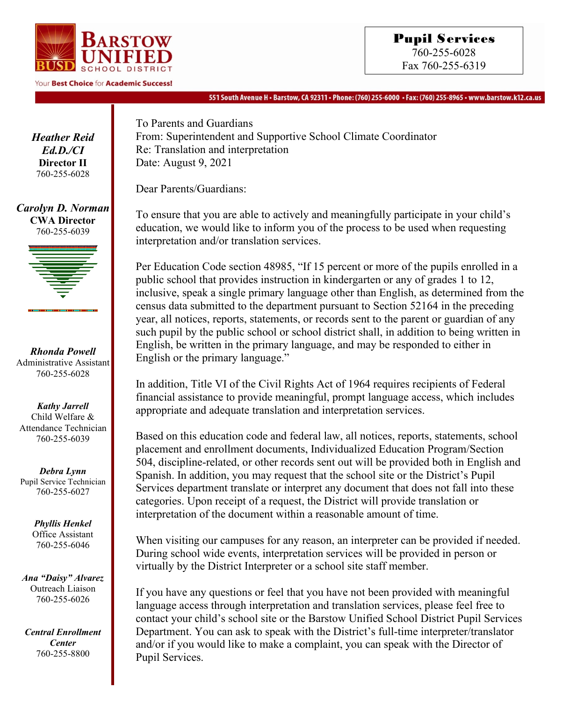

Your Best Choice for Academic Success!

551 South Avenue H • Barstow, CA 92311 • Phone: (760) 255-6000 • Fax: (760) 255-8965 • www.barstow.k12.ca.us

*Heather Reid Ed.D./CI* **Director II** 760-255-6028

*Carolyn D. Norman* **CWA Director**  760-255-6039



*Rhonda Powell* Administrative Assistant 760-255-6028

*Kathy Jarrell* Child Welfare & Attendance Technician 760-255-6039

*Debra Lynn* Pupil Service Technician 760-255-6027

> *Phyllis Henkel* Office Assistant 760-255-6046

*Ana "Daisy" Alvarez* Outreach Liaison 760-255-6026

*Central Enrollment Center* 760-255-8800

To Parents and Guardians From: Superintendent and Supportive School Climate Coordinator Re: Translation and interpretation Date: August 9, 2021

Dear Parents/Guardians:

To ensure that you are able to actively and meaningfully participate in your child's education, we would like to inform you of the process to be used when requesting interpretation and/or translation services.

Per Education Code section 48985, "If 15 percent or more of the pupils enrolled in a public school that provides instruction in kindergarten or any of grades 1 to 12, inclusive, speak a single primary language other than English, as determined from the census data submitted to the department pursuant to Section 52164 in the preceding year, all notices, reports, statements, or records sent to the parent or guardian of any such pupil by the public school or school district shall, in addition to being written in English, be written in the primary language, and may be responded to either in English or the primary language."

In addition, Title VI of the Civil Rights Act of 1964 requires recipients of Federal financial assistance to provide meaningful, prompt language access, which includes appropriate and adequate translation and interpretation services.

Based on this education code and federal law, all notices, reports, statements, school placement and enrollment documents, Individualized Education Program/Section 504, discipline-related, or other records sent out will be provided both in English and Spanish. In addition, you may request that the school site or the District's Pupil Services department translate or interpret any document that does not fall into these categories. Upon receipt of a request, the District will provide translation or interpretation of the document within a reasonable amount of time.

When visiting our campuses for any reason, an interpreter can be provided if needed. During school wide events, interpretation services will be provided in person or virtually by the District Interpreter or a school site staff member.

If you have any questions or feel that you have not been provided with meaningful language access through interpretation and translation services, please feel free to contact your child's school site or the Barstow Unified School District Pupil Services Department. You can ask to speak with the District's full-time interpreter/translator and/or if you would like to make a complaint, you can speak with the Director of Pupil Services.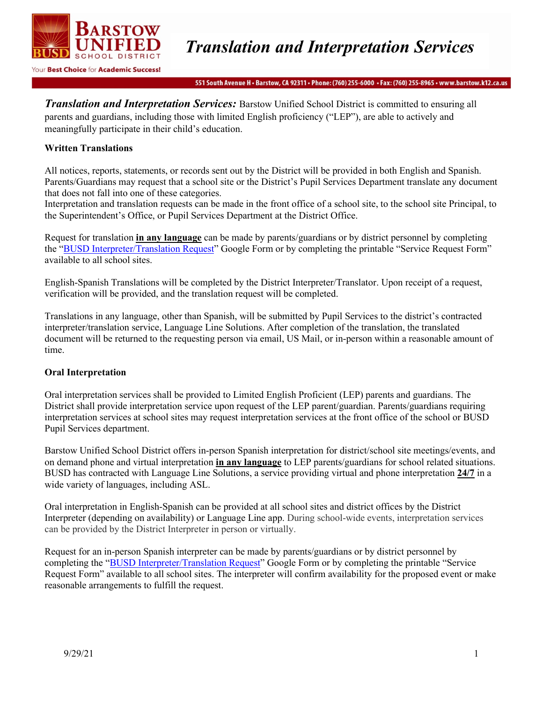

551 South Avenue H · Barstow, CA 92311 · Phone: (760) 255-6000 · Fax: (760) 255-8965 · www.barstow.k12.ca.us

*Translation and Interpretation Services:* Barstow Unified School District is committed to ensuring all parents and guardians, including those with limited English proficiency ("LEP"), are able to actively and meaningfully participate in their child's education.

## **Written Translations**

All notices, reports, statements, or records sent out by the District will be provided in both English and Spanish. Parents/Guardians may request that a school site or the District's Pupil Services Department translate any document that does not fall into one of these categories.

Interpretation and translation requests can be made in the front office of a school site, to the school site Principal, to the Superintendent's Office, or Pupil Services Department at the District Office.

Request for translation **in any language** can be made by parents/guardians or by district personnel by completing the "BUSD [Interpreter/Translation](https://docs.google.com/forms/d/e/1FAIpQLSeaG-m6DKLru3H0z3eYsMi6fLA4qmeA6-VciWC3_WhmNC_xKA/viewform?pli=1) Request" Google Form or by completing the printable "Service Request Form" available to all school sites.

English-Spanish Translations will be completed by the District Interpreter/Translator. Upon receipt of a request, verification will be provided, and the translation request will be completed.

Translations in any language, other than Spanish, will be submitted by Pupil Services to the district's contracted interpreter/translation service, Language Line Solutions. After completion of the translation, the translated document will be returned to the requesting person via email, US Mail, or in-person within a reasonable amount of time.

#### **Oral Interpretation**

Oral interpretation services shall be provided to Limited English Proficient (LEP) parents and guardians. The District shall provide interpretation service upon request of the LEP parent/guardian. Parents/guardians requiring interpretation services at school sites may request interpretation services at the front office of the school or BUSD Pupil Services department.

Barstow Unified School District offers in-person Spanish interpretation for district/school site meetings/events, and on demand phone and virtual interpretation **in any language** to LEP parents/guardians for school related situations. BUSD has contracted with Language Line Solutions, a service providing virtual and phone interpretation **24/7** in a wide variety of languages, including ASL.

Oral interpretation in English-Spanish can be provided at all school sites and district offices by the District Interpreter (depending on availability) or Language Line app. During school-wide events, interpretation services can be provided by the District Interpreter in person or virtually.

Request for an in-person Spanish interpreter can be made by parents/guardians or by district personnel by completing the "BUSD [Interpreter/Translation](https://docs.google.com/forms/d/e/1FAIpQLSeaG-m6DKLru3H0z3eYsMi6fLA4qmeA6-VciWC3_WhmNC_xKA/viewform?pli=1) Request" Google Form or by completing the printable "Service Request Form" available to all school sites. The interpreter will confirm availability for the proposed event or make reasonable arrangements to fulfill the request.